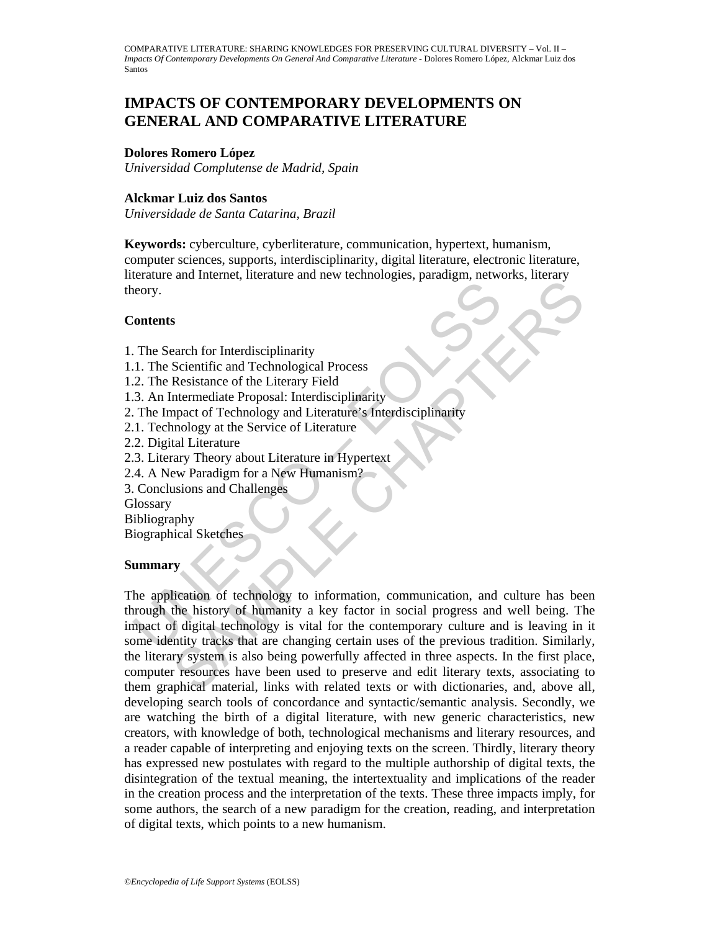# **IMPACTS OF CONTEMPORARY DEVELOPMENTS ON GENERAL AND COMPARATIVE LITERATURE**

## **Dolores Romero López**

*Universidad Complutense de Madrid, Spain* 

## **Alckmar Luiz dos Santos**

*Universidade de Santa Catarina, Brazil* 

**Keywords:** cyberculture, cyberliterature, communication, hypertext, humanism, computer sciences, supports, interdisciplinarity, digital literature, electronic literature, literature and Internet, literature and new technologies, paradigm, networks, literary theory.

## **Contents**

- 1. The Search for Interdisciplinarity
- 1.1. The Scientific and Technological Process
- 1.2. The Resistance of the Literary Field
- 1.3. An Intermediate Proposal: Interdisciplinarity
- 2. The Impact of Technology and Literature's Interdisciplinarity
- 2.1. Technology at the Service of Literature
- 2.2. Digital Literature
- 2.3. Literary Theory about Literature in Hypertext
- 2.4. A New Paradigm for a New Humanism?
- 3. Conclusions and Challenges

**Glossary** 

- Bibliography
- Biographical Sketches

## **Summary**

Franchine Marketine and Technological Process<br>
2. The Search for Interdisciplinarity<br>
1. The Scientific and Technological Process<br>
2. The Resistance of the Literary Field<br>
1. The Impact of Technology and Literature's Inter and internet internal and not determined process<br>
Second for Interdisciplinarity<br>
Second for the Literary Field<br>
Resistance of the Literary Field<br>
Interdisciplinarity<br>
map and Charlogy and Literature is interdisciplinarity The application of technology to information, communication, and culture has been through the history of humanity a key factor in social progress and well being. The impact of digital technology is vital for the contemporary culture and is leaving in it some identity tracks that are changing certain uses of the previous tradition. Similarly, the literary system is also being powerfully affected in three aspects. In the first place, computer resources have been used to preserve and edit literary texts, associating to them graphical material, links with related texts or with dictionaries, and, above all, developing search tools of concordance and syntactic/semantic analysis. Secondly, we are watching the birth of a digital literature, with new generic characteristics, new creators, with knowledge of both, technological mechanisms and literary resources, and a reader capable of interpreting and enjoying texts on the screen. Thirdly, literary theory has expressed new postulates with regard to the multiple authorship of digital texts, the disintegration of the textual meaning, the intertextuality and implications of the reader in the creation process and the interpretation of the texts. These three impacts imply, for some authors, the search of a new paradigm for the creation, reading, and interpretation of digital texts, which points to a new humanism.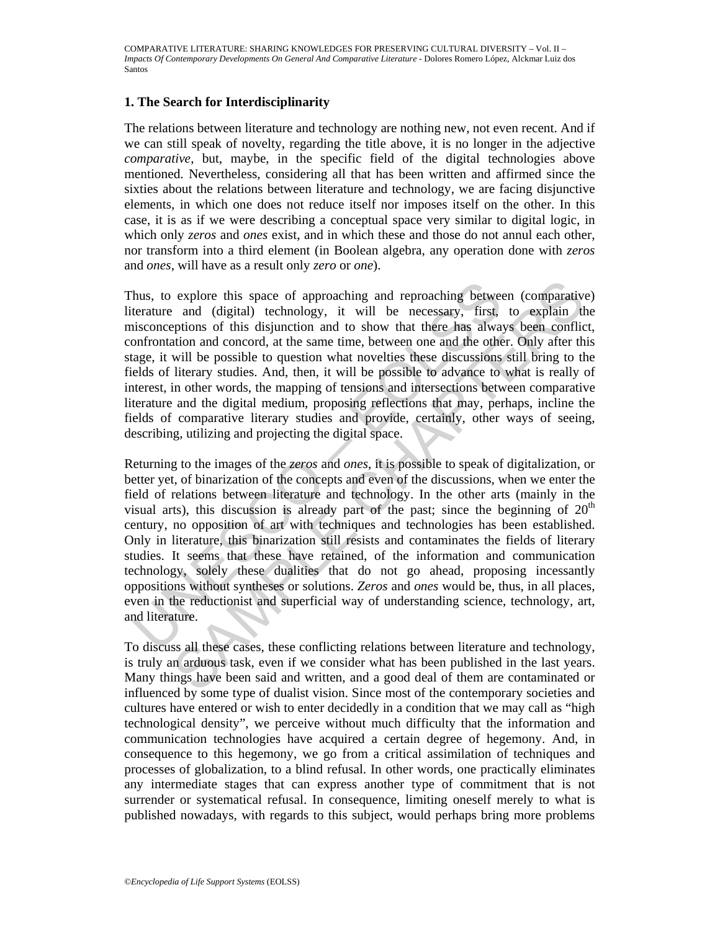## **1. The Search for Interdisciplinarity**

The relations between literature and technology are nothing new, not even recent. And if we can still speak of novelty, regarding the title above, it is no longer in the adjective *comparative*, but, maybe, in the specific field of the digital technologies above mentioned. Nevertheless, considering all that has been written and affirmed since the sixties about the relations between literature and technology, we are facing disjunctive elements, in which one does not reduce itself nor imposes itself on the other. In this case, it is as if we were describing a conceptual space very similar to digital logic, in which only *zeros* and *ones* exist, and in which these and those do not annul each other, nor transform into a third element (in Boolean algebra, any operation done with *zeros*  and *ones*, will have as a result only *zero* or *one*).

Thus, to explore this space of approaching and reproaching between (comparative) literature and (digital) technology, it will be necessary, first, to explain the misconceptions of this disjunction and to show that there has always been conflict, confrontation and concord, at the same time, between one and the other. Only after this stage, it will be possible to question what novelties these discussions still bring to the fields of literary studies. And, then, it will be possible to advance to what is really of interest, in other words, the mapping of tensions and intersections between comparative literature and the digital medium, proposing reflections that may, perhaps, incline the fields of comparative literary studies and provide, certainly, other ways of seeing, describing, utilizing and projecting the digital space.

hus, to explore this space of approaching and reproaching betwee<br>terature and (digital) technology, it will be necessary, first,<br>isconceptions of this disjunction and to show that there has alwa<br>onfrontation and concord, a explore this space of approaching and reproaching between (comparative and (digital) technology, it will be necessary, first, to explain the phosition and concord, at the same time, between one and the other. Only after t Returning to the images of the *zeros* and *ones*, it is possible to speak of digitalization, or better yet, of binarization of the concepts and even of the discussions, when we enter the field of relations between literature and technology. In the other arts (mainly in the visual arts), this discussion is already part of the past; since the beginning of  $20<sup>th</sup>$ century, no opposition of art with techniques and technologies has been established. Only in literature, this binarization still resists and contaminates the fields of literary studies. It seems that these have retained, of the information and communication technology, solely these dualities that do not go ahead, proposing incessantly oppositions without syntheses or solutions. *Zeros* and *ones* would be, thus, in all places, even in the reductionist and superficial way of understanding science, technology, art, and literature.

To discuss all these cases, these conflicting relations between literature and technology, is truly an arduous task, even if we consider what has been published in the last years. Many things have been said and written, and a good deal of them are contaminated or influenced by some type of dualist vision. Since most of the contemporary societies and cultures have entered or wish to enter decidedly in a condition that we may call as "high technological density", we perceive without much difficulty that the information and communication technologies have acquired a certain degree of hegemony. And, in consequence to this hegemony, we go from a critical assimilation of techniques and processes of globalization, to a blind refusal. In other words, one practically eliminates any intermediate stages that can express another type of commitment that is not surrender or systematical refusal. In consequence, limiting oneself merely to what is published nowadays, with regards to this subject, would perhaps bring more problems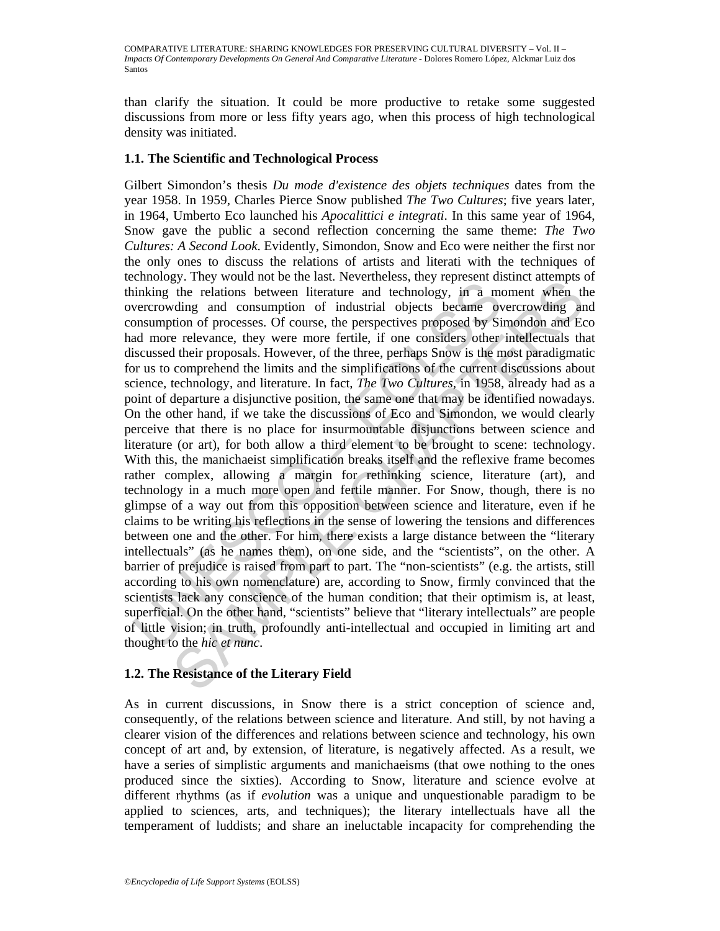than clarify the situation. It could be more productive to retake some suggested discussions from more or less fifty years ago, when this process of high technological density was initiated.

# **1.1. The Scientific and Technological Process**

Example, they would not be use that it vectometes, they represent an increasing the relations between literature and technology, in a more relavant expresenting and consumption of industrial objects became over<br>onsumption gy. They would not once as at vectricentes, they represent us<br>and the relations between literature and technology, in a moment when the<br>ding and consumption of industrial objects proposed by Simondon and Eco<br>din of proces Gilbert Simondon's thesis *Du mode d'existence des objets techniques* dates from the year 1958. In 1959, Charles Pierce Snow published *The Two Cultures*; five years later, in 1964, Umberto Eco launched his *Apocalittici e integrati*. In this same year of 1964, Snow gave the public a second reflection concerning the same theme: *The Two Cultures: A Second Look*. Evidently, Simondon, Snow and Eco were neither the first nor the only ones to discuss the relations of artists and literati with the techniques of technology. They would not be the last. Nevertheless, they represent distinct attempts of thinking the relations between literature and technology, in a moment when the overcrowding and consumption of industrial objects became overcrowding and consumption of processes. Of course, the perspectives proposed by Simondon and Eco had more relevance, they were more fertile, if one considers other intellectuals that discussed their proposals. However, of the three, perhaps Snow is the most paradigmatic for us to comprehend the limits and the simplifications of the current discussions about science, technology, and literature. In fact, *The Two Cultures*, in 1958, already had as a point of departure a disjunctive position, the same one that may be identified nowadays. On the other hand, if we take the discussions of Eco and Simondon, we would clearly perceive that there is no place for insurmountable disjunctions between science and literature (or art), for both allow a third element to be brought to scene: technology. With this, the manichaeist simplification breaks itself and the reflexive frame becomes rather complex, allowing a margin for rethinking science, literature (art), and technology in a much more open and fertile manner. For Snow, though, there is no glimpse of a way out from this opposition between science and literature, even if he claims to be writing his reflections in the sense of lowering the tensions and differences between one and the other. For him, there exists a large distance between the "literary intellectuals" (as he names them), on one side, and the "scientists", on the other. A barrier of prejudice is raised from part to part. The "non-scientists" (e.g. the artists, still according to his own nomenclature) are, according to Snow, firmly convinced that the scientists lack any conscience of the human condition; that their optimism is, at least, superficial. On the other hand, "scientists" believe that "literary intellectuals" are people of little vision; in truth, profoundly anti-intellectual and occupied in limiting art and thought to the *hic et nunc*.

# **1.2. The Resistance of the Literary Field**

As in current discussions, in Snow there is a strict conception of science and, consequently, of the relations between science and literature. And still, by not having a clearer vision of the differences and relations between science and technology, his own concept of art and, by extension, of literature, is negatively affected. As a result, we have a series of simplistic arguments and manichaeisms (that owe nothing to the ones produced since the sixties). According to Snow, literature and science evolve at different rhythms (as if *evolution* was a unique and unquestionable paradigm to be applied to sciences, arts, and techniques); the literary intellectuals have all the temperament of luddists; and share an ineluctable incapacity for comprehending the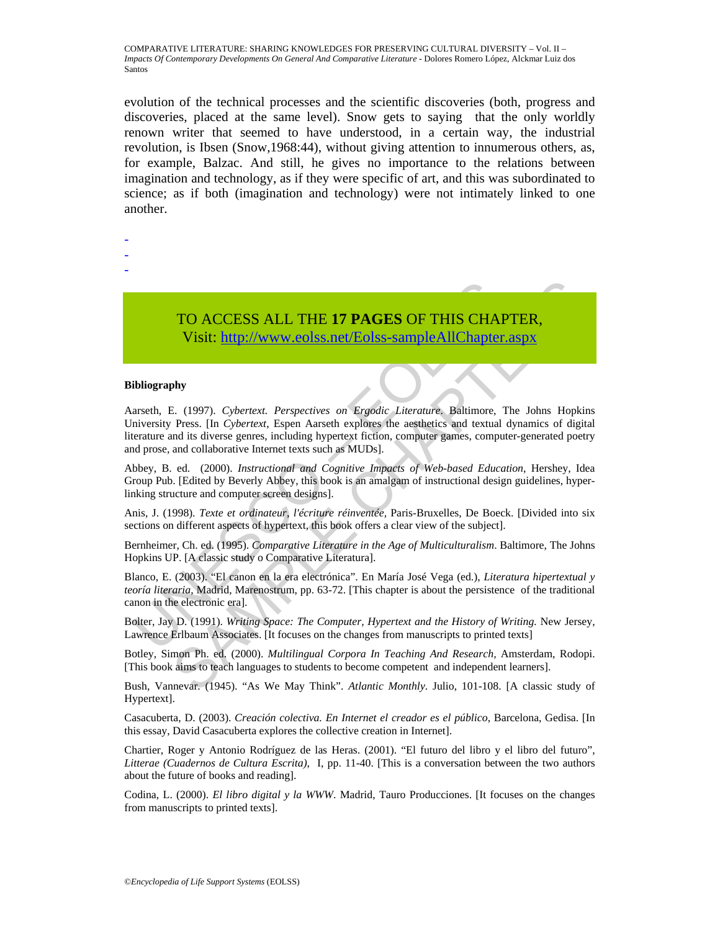evolution of the technical processes and the scientific discoveries (both, progress and discoveries, placed at the same level). Snow gets to saying that the only worldly renown writer that seemed to have understood, in a certain way, the industrial revolution, is Ibsen (Snow,1968:44), without giving attention to innumerous others, as, for example, Balzac. And still, he gives no importance to the relations between imagination and technology, as if they were specific of art, and this was subordinated to science; as if both (imagination and technology) were not intimately linked to one another.

- -
- -
- -

TO ACCESS ALL THE **17 PAGES** OF THIS CHAPTER, Visit: http://www.eolss.net/Eolss-sampleAllChapter.aspx

#### **Bibliography**

TO ACCESS ALL THE 17 PAGES OF THIS CHAI<br>Visit: http://www.eolss.net/Eolss-sampleAllChapter<br>ibliography<br>arseth, E. (1997). Cybertext. Perspectives on Ergodic Literature, Baltimore,<br>inversity Press. [In Cybertext. Espen Aars **TO ACCESS ALL THE 17 PAGES OF THIS CHAPTER,**<br>
Visit: http://www.eolss.net/Eolss-sampleAllChapter.aspx<br>
3. (1997). Cybertext. Perspectives on Ergodic Literature, Baltimore, The Johns Hopkins<br>
Press. [In Cybertext, Espen A Aarseth, E. (1997). *Cybertext. Perspectives on Ergodic Literature*. Baltimore, The Johns Hopkins University Press. [In *Cybertext*, Espen Aarseth explores the aesthetics and textual dynamics of digital literature and its diverse genres, including hypertext fiction, computer games, computer-generated poetry and prose, and collaborative Internet texts such as MUDs].

Abbey, B. ed. (2000). *Instructional and Cognitive Impacts of Web-based Education*, Hershey, Idea Group Pub. [Edited by Beverly Abbey, this book is an amalgam of instructional design guidelines, hyperlinking structure and computer screen designs].

Anis, J. (1998). *Texte et ordinateur, l'écriture réinventée,* Paris-Bruxelles, De Boeck. [Divided into six sections on different aspects of hypertext, this book offers a clear view of the subject].

Bernheimer, Ch. ed. (1995). *Comparative Literature in the Age of Multiculturalism*. Baltimore, The Johns Hopkins UP. [A classic study o Comparative Literatura].

Blanco, E. (2003). "El canon en la era electrónica". En María José Vega (ed.), *Literatura hipertextual y teoría literaria*, Madrid, Marenostrum, pp. 63-72. [This chapter is about the persistence of the traditional canon in the electronic era].

Bolter, Jay D. (1991). *Writing Space: The Computer, Hypertext and the History of Writing.* New Jersey, Lawrence Erlbaum Associates. [It focuses on the changes from manuscripts to printed texts]

Botley, Simon Ph. ed. (2000). *Multilingual Corpora In Teaching And Research,* Amsterdam, Rodopi. [This book aims to teach languages to students to become competent and independent learners].

Bush, Vannevar. (1945). "As We May Think". *Atlantic Monthly*. Julio, 101-108. [A classic study of Hypertext].

Casacuberta, D. (2003). *Creación colectiva. En Internet el creador es el público*, Barcelona, Gedisa. [In this essay, David Casacuberta explores the collective creation in Internet].

Chartier, Roger y Antonio Rodríguez de las Heras. (2001). "El futuro del libro y el libro del futuro", *Litterae (Cuadernos de Cultura Escrita)*, I, pp. 11-40. [This is a conversation between the two authors about the future of books and reading].

Codina, L. (2000). *El libro digital y la WWW*. Madrid, Tauro Producciones. [It focuses on the changes from manuscripts to printed texts].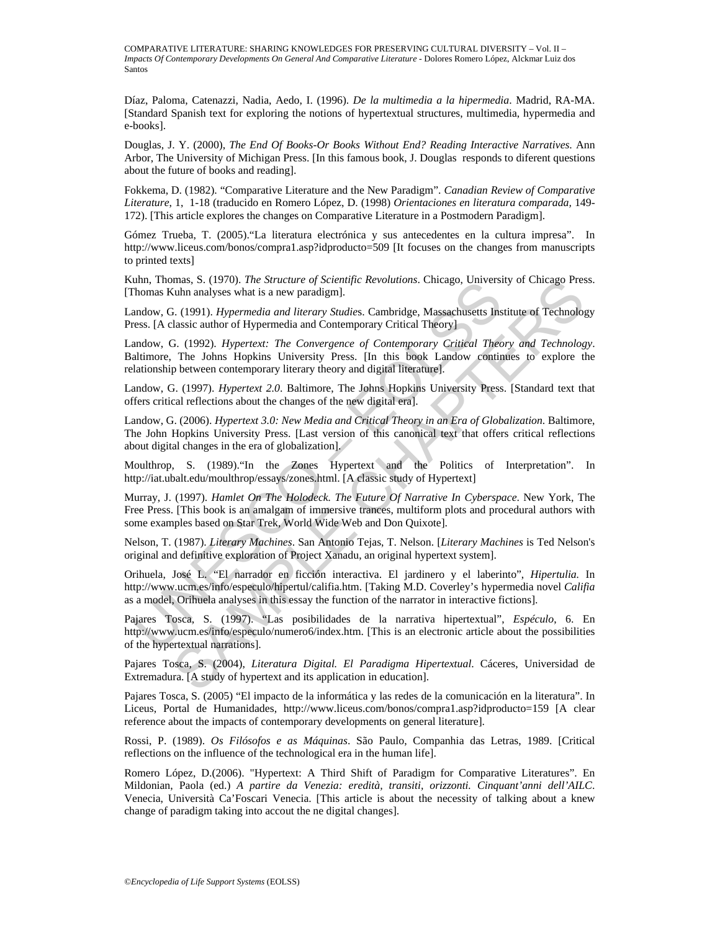Díaz, Paloma, Catenazzi, Nadia, Aedo, I. (1996). *De la multimedia a la hipermedia*. Madrid, RA-MA. [Standard Spanish text for exploring the notions of hypertextual structures, multimedia, hypermedia and e-books].

Douglas, J. Y. (2000), *The End Of Books-Or Books Without End? Reading Interactive Narratives*. Ann Arbor, The University of Michigan Press. [In this famous book, J. Douglas responds to diferent questions about the future of books and reading].

Fokkema, D. (1982). "Comparative Literature and the New Paradigm". *Canadian Review of Comparative Literature*, 1, 1-18 (traducido en Romero López, D. (1998) *Orientaciones en literatura comparada,* 149- 172). [This article explores the changes on Comparative Literature in a Postmodern Paradigm].

Gómez Trueba, T. (2005)."La literatura electrónica y sus antecedentes en la cultura impresa". In http://www.liceus.com/bonos/compra1.asp?idproducto=509 [It focuses on the changes from manuscripts to printed texts]

Kuhn, Thomas, S. (1970). *The Structure of Scientific Revolutions*. Chicago, University of Chicago Press. [Thomas Kuhn analyses what is a new paradigm].

Landow, G. (1991). *Hypermedia and literary Studie*s. Cambridge, Massachusetts Institute of Technology Press. [A classic author of Hypermedia and Contemporary Critical Theory]

Landow, G. (1992). *Hypertext: The Convergence of Contemporary Critical Theory and Technology*. Baltimore, The Johns Hopkins University Press. [In this book Landow continues to explore the relationship between contemporary literary theory and digital literature].

Landow, G. (1997). *Hypertext 2.0*. Baltimore, The Johns Hopkins University Press. [Standard text that offers critical reflections about the changes of the new digital era].

unn, 100mas, S. (1970). *Ine structure of scientince Rebouttoms*. Cincago, Oniversity Chomas Kuhn analyses what is a new paradigm].<br>
Informas Kuhn analyses what is a new paradigm].<br>
Analow, G. (1991). *Hypermedia and liter* mas, S. (1970). The *Structure of Scientiffe Kevolutions*. Chicago, University of Chicago Pres<br>
S. (1991). *Hypermedia and literary Studies*. Cambridge, Massachusetts Institute of Technolog<br>
3. (1991). *Hypermedia and Con* Landow, G. (2006). *Hypertext 3.0: New Media and Critical Theory in an Era of Globalization*. Baltimore, The John Hopkins University Press. [Last version of this canonical text that offers critical reflections about digital changes in the era of globalization].

Moulthrop, S. (1989)."In the Zones Hypertext and the Politics of Interpretation". In http://iat.ubalt.edu/moulthrop/essays/zones.html. [A classic study of Hypertext]

Murray, J. (1997). *Hamlet On The Holodeck. The Future Of Narrative In Cyberspace*. New York, The Free Press. [This book is an amalgam of immersive trances, multiform plots and procedural authors with some examples based on Star Trek, World Wide Web and Don Quixote].

Nelson, T. (1987). *Literary Machines*. San Antonio Tejas, T. Nelson. [*Literary Machines* is Ted Nelson's original and definitive exploration of Project Xanadu, an original hypertext system].

Orihuela, José L. "El narrador en ficción interactiva. El jardinero y el laberinto", *Hipertulia.* In http://www.ucm.es/info/especulo/hipertul/califia.htm. [Taking M.D. Coverley's hypermedia novel *Califia*  as a model, Orihuela analyses in this essay the function of the narrator in interactive fictions].

Pajares Tosca, S. (1997). "Las posibilidades de la narrativa hipertextual", *Espéculo*, 6. En http://www.ucm.es/info/especulo/numero6/index.htm. [This is an electronic article about the possibilities of the hypertextual narrations].

Pajares Tosca, S. (2004), *Literatura Digital. El Paradigma Hipertextual*. Cáceres, Universidad de Extremadura. [A study of hypertext and its application in education].

Pajares Tosca, S. (2005) "El impacto de la informática y las redes de la comunicación en la literatura". In Liceus, Portal de Humanidades, http://www.liceus.com/bonos/compra1.asp?idproducto=159 [A clear reference about the impacts of contemporary developments on general literature].

Rossi, P. (1989). *Os Filósofos e as Máquinas*. São Paulo, Companhia das Letras, 1989. [Critical reflections on the influence of the technological era in the human life].

Romero López, D.(2006). "Hypertext: A Third Shift of Paradigm for Comparative Literatures". En Mildonian, Paola (ed.) *A partire da Venezia: eredità, transiti, orizzonti. Cinquant'anni dell'AILC*. Venecia, Università Ca'Foscari Venecia. [This article is about the necessity of talking about a knew change of paradigm taking into accout the ne digital changes].